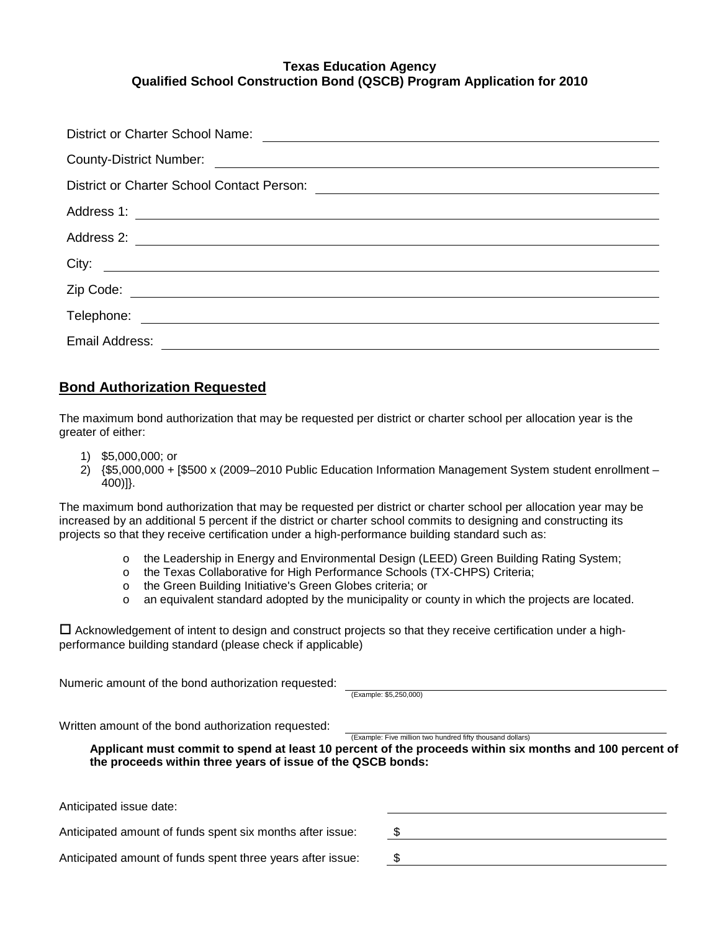| District or Charter School Name:                                                                                                        |  |  |  |
|-----------------------------------------------------------------------------------------------------------------------------------------|--|--|--|
|                                                                                                                                         |  |  |  |
|                                                                                                                                         |  |  |  |
|                                                                                                                                         |  |  |  |
|                                                                                                                                         |  |  |  |
| City:                                                                                                                                   |  |  |  |
|                                                                                                                                         |  |  |  |
|                                                                                                                                         |  |  |  |
| Email Address:<br><u> 1989 - Andrea State Barbara, política establecera en la contrada de la contrada de la contrada de la contrada</u> |  |  |  |

## **Bond Authorization Requested**

The maximum bond authorization that may be requested per district or charter school per allocation year is the greater of either:

- 1) \$5,000,000; or
- 2) {\$5,000,000 + [\$500 x (2009–2010 Public Education Information Management System student enrollment 400)]}.

The maximum bond authorization that may be requested per district or charter school per allocation year may be increased by an additional 5 percent if the district or charter school commits to designing and constructing its projects so that they receive certification under a high-performance building standard such as:

- o the Leadership in Energy and Environmental Design (LEED) Green Building Rating System;
- o the Texas Collaborative for High Performance Schools (TX-CHPS) Criteria;
- o the Green Building Initiative's Green Globes criteria; or
- o an equivalent standard adopted by the municipality or county in which the projects are located.

 $\Box$  Acknowledgement of intent to design and construct projects so that they receive certification under a highperformance building standard (please check if applicable)

Numeric amount of the bond authorization requested:

(Example: \$5,250,000)

Written amount of the bond authorization requested:

(Example: Five million two hundred fifty thousand dollars)

**Applicant must commit to spend at least 10 percent of the proceeds within six months and 100 percent of the proceeds within three years of issue of the QSCB bonds:**

Anticipated issue date:

Anticipated amount of funds spent six months after issue:  $$$ 

Anticipated amount of funds spent three years after issue: \$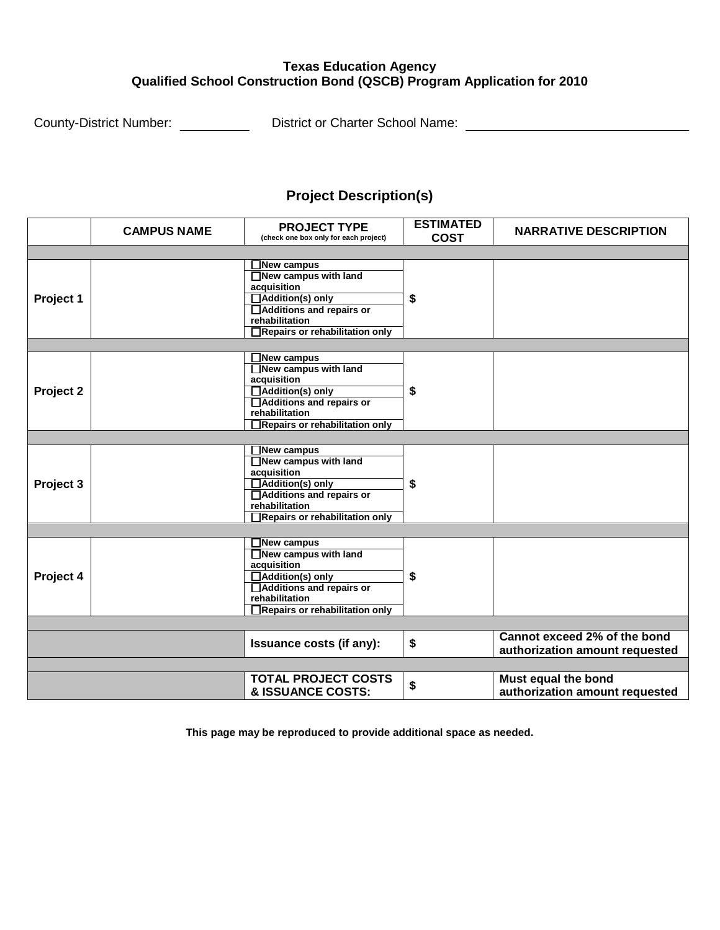County-District Number: District or Charter School Name:

# **Project Description(s)**

|           | <b>CAMPUS NAME</b> | <b>PROJECT TYPE</b>                   | <b>ESTIMATED</b> | <b>NARRATIVE DESCRIPTION</b>   |  |  |
|-----------|--------------------|---------------------------------------|------------------|--------------------------------|--|--|
|           |                    | (check one box only for each project) | <b>COST</b>      |                                |  |  |
|           |                    |                                       |                  |                                |  |  |
|           |                    | ∃New campus                           | \$               |                                |  |  |
| Project 1 |                    | New campus with land                  |                  |                                |  |  |
|           |                    | acquisition                           |                  |                                |  |  |
|           |                    | Addition(s) only                      |                  |                                |  |  |
|           |                    | Additions and repairs or              |                  |                                |  |  |
|           |                    | rehabilitation                        |                  |                                |  |  |
|           |                    | Repairs or rehabilitation only        |                  |                                |  |  |
|           |                    |                                       |                  |                                |  |  |
|           |                    | <b>New campus</b>                     | \$               |                                |  |  |
|           |                    | New campus with land                  |                  |                                |  |  |
|           |                    | acquisition                           |                  |                                |  |  |
| Project 2 |                    | Addition(s) only                      |                  |                                |  |  |
|           |                    | Additions and repairs or              |                  |                                |  |  |
|           |                    | rehabilitation                        |                  |                                |  |  |
|           |                    | Repairs or rehabilitation only        |                  |                                |  |  |
|           |                    |                                       |                  |                                |  |  |
|           |                    | New campus                            | \$               |                                |  |  |
| Project 3 |                    | $\Box$ New campus with land           |                  |                                |  |  |
|           |                    | acquisition                           |                  |                                |  |  |
|           |                    | Addition(s) only                      |                  |                                |  |  |
|           |                    | Additions and repairs or              |                  |                                |  |  |
|           |                    | rehabilitation                        |                  |                                |  |  |
|           |                    | Repairs or rehabilitation only        |                  |                                |  |  |
|           |                    |                                       |                  |                                |  |  |
|           |                    | New campus                            | \$               |                                |  |  |
|           |                    | New campus with land                  |                  |                                |  |  |
|           |                    | acquisition                           |                  |                                |  |  |
| Project 4 |                    | □ Addition(s) only                    |                  |                                |  |  |
|           |                    | Additions and repairs or              |                  |                                |  |  |
|           |                    | rehabilitation                        |                  |                                |  |  |
|           |                    | Repairs or rehabilitation only        |                  |                                |  |  |
|           |                    |                                       |                  |                                |  |  |
|           |                    | <b>Issuance costs (if any):</b>       | \$               | Cannot exceed 2% of the bond   |  |  |
|           |                    |                                       |                  | authorization amount requested |  |  |
|           |                    |                                       |                  |                                |  |  |
|           |                    | <b>TOTAL PROJECT COSTS</b>            |                  | Must equal the bond            |  |  |
|           |                    | & ISSUANCE COSTS:                     | \$               | authorization amount requested |  |  |
|           |                    |                                       |                  |                                |  |  |

**This page may be reproduced to provide additional space as needed.**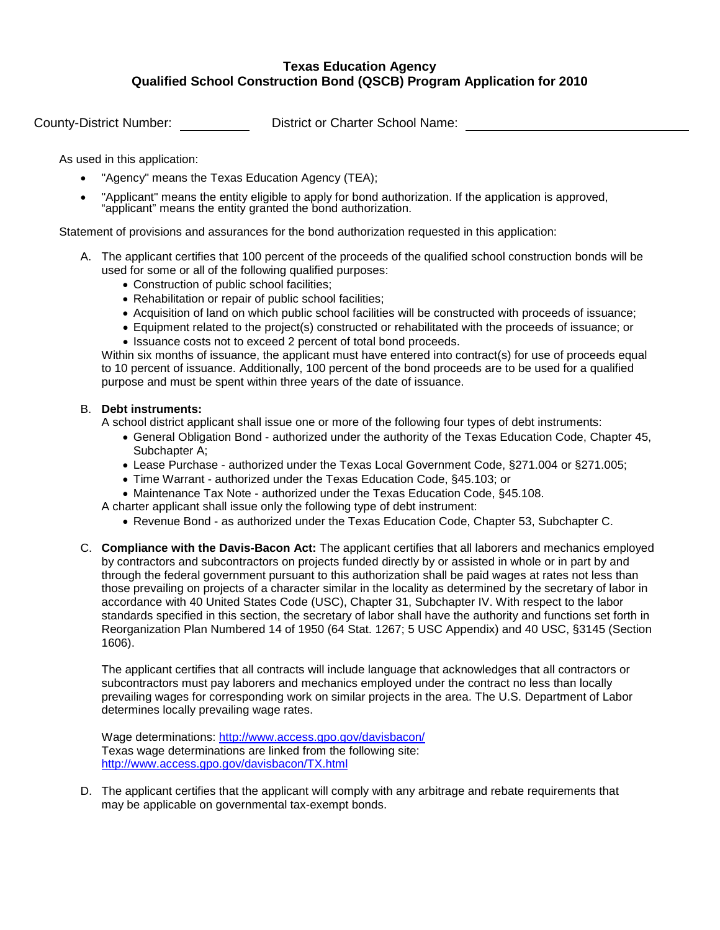County-District Number: District or Charter School Name:

As used in this application:

- "Agency" means the Texas Education Agency (TEA);
- "Applicant" means the entity eligible to apply for bond authorization. If the application is approved, "applicant" means the entity granted the bond authorization.

Statement of provisions and assurances for the bond authorization requested in this application:

- A. The applicant certifies that 100 percent of the proceeds of the qualified school construction bonds will be used for some or all of the following qualified purposes:
	- Construction of public school facilities;
	- Rehabilitation or repair of public school facilities;
	- Acquisition of land on which public school facilities will be constructed with proceeds of issuance;
	- Equipment related to the project(s) constructed or rehabilitated with the proceeds of issuance; or
	- Issuance costs not to exceed 2 percent of total bond proceeds.

Within six months of issuance, the applicant must have entered into contract(s) for use of proceeds equal to 10 percent of issuance. Additionally, 100 percent of the bond proceeds are to be used for a qualified purpose and must be spent within three years of the date of issuance.

#### B. **Debt instruments:**

A school district applicant shall issue one or more of the following four types of debt instruments:

- General Obligation Bond authorized under the authority of the Texas Education Code, Chapter 45, Subchapter A:
- Lease Purchase authorized under the Texas Local Government Code, §271.004 or §271.005;
- Time Warrant authorized under the Texas Education Code, §45.103; or
- Maintenance Tax Note authorized under the Texas Education Code, §45.108.

A charter applicant shall issue only the following type of debt instrument:

- Revenue Bond as authorized under the Texas Education Code, Chapter 53, Subchapter C.
- C. **Compliance with the Davis-Bacon Act:** The applicant certifies that all laborers and mechanics employed by contractors and subcontractors on projects funded directly by or assisted in whole or in part by and through the federal government pursuant to this authorization shall be paid wages at rates not less than those prevailing on projects of a character similar in the locality as determined by the secretary of labor in accordance with 40 United States Code (USC), Chapter 31, Subchapter IV. With respect to the labor standards specified in this section, the secretary of labor shall have the authority and functions set forth in Reorganization Plan Numbered 14 of 1950 (64 Stat. 1267; 5 USC Appendix) and 40 USC, §3145 (Section 1606).

The applicant certifies that all contracts will include language that acknowledges that all contractors or subcontractors must pay laborers and mechanics employed under the contract no less than locally prevailing wages for corresponding work on similar projects in the area. The U.S. Department of Labor determines locally prevailing wage rates.

Wage determinations:<http://www.access.gpo.gov/davisbacon/> Texas wage determinations are linked from the following site: <http://www.access.gpo.gov/davisbacon/TX.html>

D. The applicant certifies that the applicant will comply with any arbitrage and rebate requirements that may be applicable on governmental tax-exempt bonds.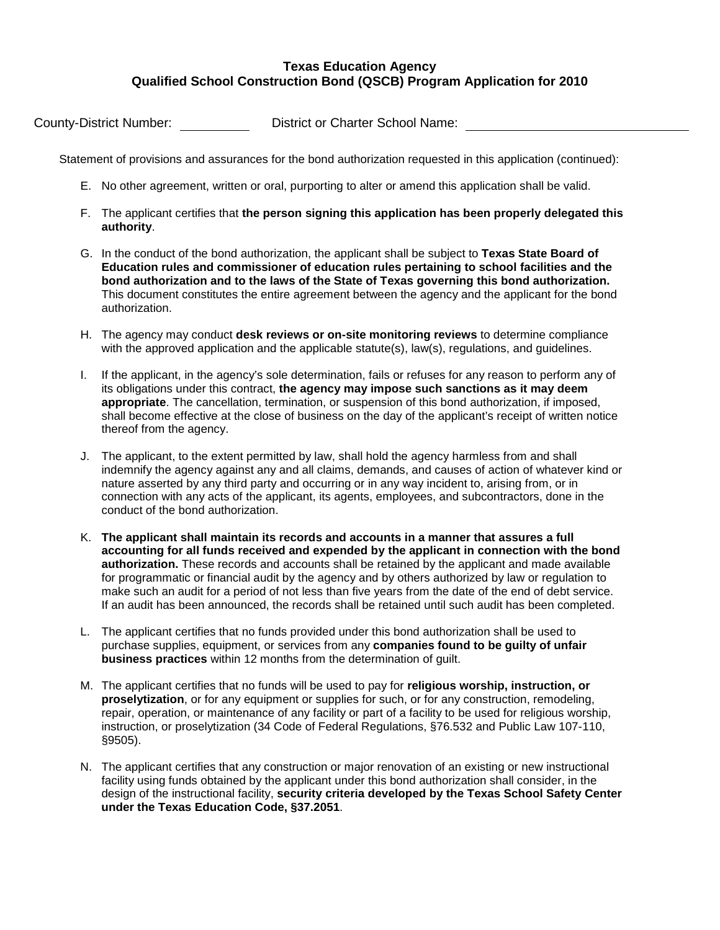County-District Number: District or Charter School Name:

Statement of provisions and assurances for the bond authorization requested in this application (continued):

- E. No other agreement, written or oral, purporting to alter or amend this application shall be valid.
- F. The applicant certifies that **the person signing this application has been properly delegated this authority**.
- G. In the conduct of the bond authorization, the applicant shall be subject to **Texas State Board of Education rules and commissioner of education rules pertaining to school facilities and the bond authorization and to the laws of the State of Texas governing this bond authorization.** This document constitutes the entire agreement between the agency and the applicant for the bond authorization.
- H. The agency may conduct **desk reviews or on-site monitoring reviews** to determine compliance with the approved application and the applicable statute(s), law(s), regulations, and guidelines.
- I. If the applicant, in the agency's sole determination, fails or refuses for any reason to perform any of its obligations under this contract, **the agency may impose such sanctions as it may deem appropriate**. The cancellation, termination, or suspension of this bond authorization, if imposed, shall become effective at the close of business on the day of the applicant's receipt of written notice thereof from the agency.
- J. The applicant, to the extent permitted by law, shall hold the agency harmless from and shall indemnify the agency against any and all claims, demands, and causes of action of whatever kind or nature asserted by any third party and occurring or in any way incident to, arising from, or in connection with any acts of the applicant, its agents, employees, and subcontractors, done in the conduct of the bond authorization.
- K. **The applicant shall maintain its records and accounts in a manner that assures a full accounting for all funds received and expended by the applicant in connection with the bond authorization.** These records and accounts shall be retained by the applicant and made available for programmatic or financial audit by the agency and by others authorized by law or regulation to make such an audit for a period of not less than five years from the date of the end of debt service. If an audit has been announced, the records shall be retained until such audit has been completed.
- L. The applicant certifies that no funds provided under this bond authorization shall be used to purchase supplies, equipment, or services from any **companies found to be guilty of unfair business practices** within 12 months from the determination of guilt.
- M. The applicant certifies that no funds will be used to pay for **religious worship, instruction, or proselytization**, or for any equipment or supplies for such, or for any construction, remodeling, repair, operation, or maintenance of any facility or part of a facility to be used for religious worship, instruction, or proselytization (34 Code of Federal Regulations, §76.532 and Public Law 107-110, §9505).
- N. The applicant certifies that any construction or major renovation of an existing or new instructional facility using funds obtained by the applicant under this bond authorization shall consider, in the design of the instructional facility, **security criteria developed by the Texas School Safety Center under the Texas Education Code, §37.2051**.